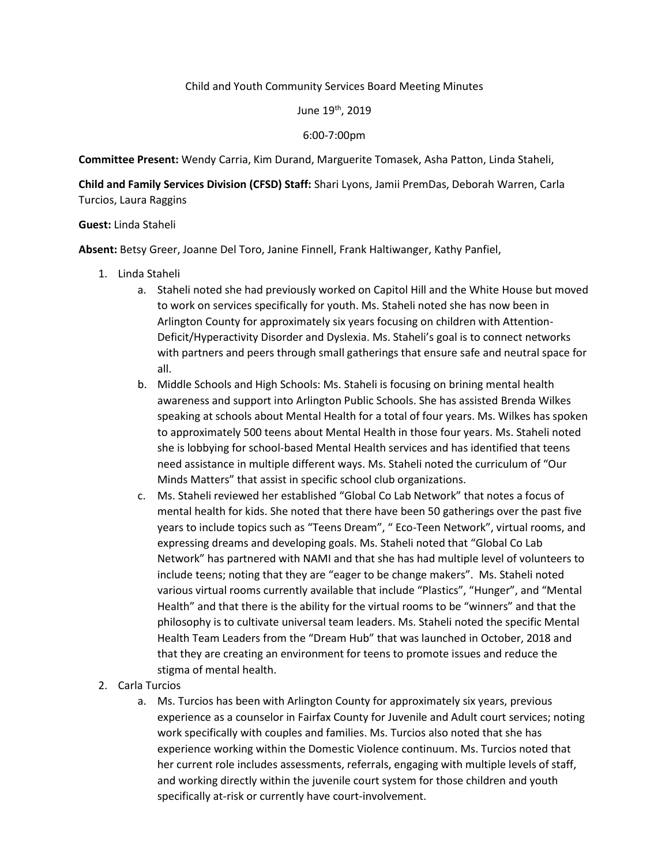## Child and Youth Community Services Board Meeting Minutes

## June 19<sup>th</sup>, 2019

## 6:00-7:00pm

**Committee Present:** Wendy Carria, Kim Durand, Marguerite Tomasek, Asha Patton, Linda Staheli,

**Child and Family Services Division (CFSD) Staff:** Shari Lyons, Jamii PremDas, Deborah Warren, Carla Turcios, Laura Raggins

## **Guest:** Linda Staheli

**Absent:** Betsy Greer, Joanne Del Toro, Janine Finnell, Frank Haltiwanger, Kathy Panfiel,

- 1. Linda Staheli
	- a. Staheli noted she had previously worked on Capitol Hill and the White House but moved to work on services specifically for youth. Ms. Staheli noted she has now been in Arlington County for approximately six years focusing on children with Attention-Deficit/Hyperactivity Disorder and Dyslexia. Ms. Staheli's goal is to connect networks with partners and peers through small gatherings that ensure safe and neutral space for all.
	- b. Middle Schools and High Schools: Ms. Staheli is focusing on brining mental health awareness and support into Arlington Public Schools. She has assisted Brenda Wilkes speaking at schools about Mental Health for a total of four years. Ms. Wilkes has spoken to approximately 500 teens about Mental Health in those four years. Ms. Staheli noted she is lobbying for school-based Mental Health services and has identified that teens need assistance in multiple different ways. Ms. Staheli noted the curriculum of "Our Minds Matters" that assist in specific school club organizations.
	- c. Ms. Staheli reviewed her established "Global Co Lab Network" that notes a focus of mental health for kids. She noted that there have been 50 gatherings over the past five years to include topics such as "Teens Dream", " Eco-Teen Network", virtual rooms, and expressing dreams and developing goals. Ms. Staheli noted that "Global Co Lab Network" has partnered with NAMI and that she has had multiple level of volunteers to include teens; noting that they are "eager to be change makers". Ms. Staheli noted various virtual rooms currently available that include "Plastics", "Hunger", and "Mental Health" and that there is the ability for the virtual rooms to be "winners" and that the philosophy is to cultivate universal team leaders. Ms. Staheli noted the specific Mental Health Team Leaders from the "Dream Hub" that was launched in October, 2018 and that they are creating an environment for teens to promote issues and reduce the stigma of mental health.
- 2. Carla Turcios
	- a. Ms. Turcios has been with Arlington County for approximately six years, previous experience as a counselor in Fairfax County for Juvenile and Adult court services; noting work specifically with couples and families. Ms. Turcios also noted that she has experience working within the Domestic Violence continuum. Ms. Turcios noted that her current role includes assessments, referrals, engaging with multiple levels of staff, and working directly within the juvenile court system for those children and youth specifically at-risk or currently have court-involvement.